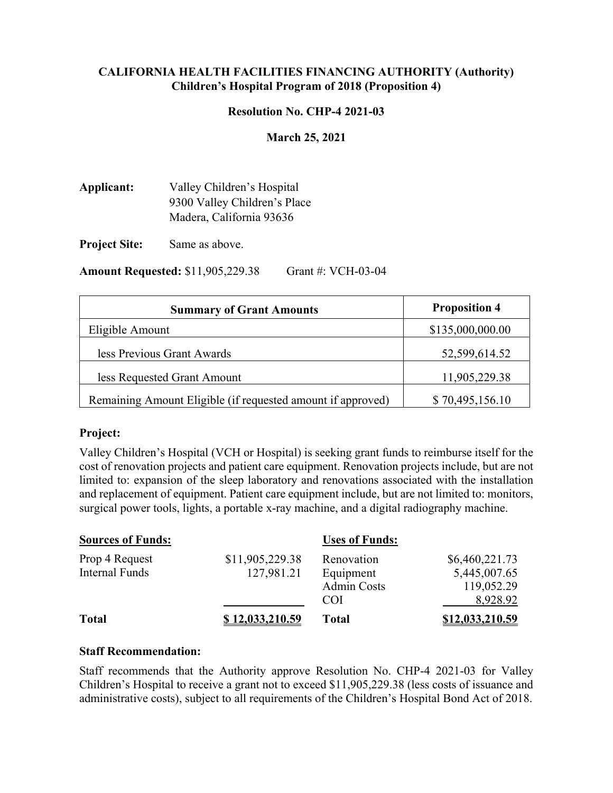#### **CALIFORNIA HEALTH FACILITIES FINANCING AUTHORITY (Authority) Children's Hospital Program of 2018 (Proposition 4)**

#### **Resolution No. CHP-4 2021-03**

#### **March 25, 2021**

**Applicant:** Valley Children's Hospital 9300 Valley Children's Place Madera, California 93636

**Project Site:** Same as above.

**Amount Requested:** \$11,905,229.38 Grant #: VCH-03-04

| <b>Summary of Grant Amounts</b>                             | <b>Proposition 4</b> |
|-------------------------------------------------------------|----------------------|
| Eligible Amount                                             | \$135,000,000.00     |
| less Previous Grant Awards                                  | 52,599,614.52        |
| less Requested Grant Amount                                 | 11,905,229.38        |
| Remaining Amount Eligible (if requested amount if approved) | \$70,495,156.10      |

#### **Project:**

Valley Children's Hospital (VCH or Hospital) is seeking grant funds to reimburse itself for the cost of renovation projects and patient care equipment. Renovation projects include, but are not limited to: expansion of the sleep laboratory and renovations associated with the installation and replacement of equipment. Patient care equipment include, but are not limited to: monitors, surgical power tools, lights, a portable x-ray machine, and a digital radiography machine.

| <b>Sources of Funds:</b> |                 | <b>Uses of Funds:</b> |                 |
|--------------------------|-----------------|-----------------------|-----------------|
| Prop 4 Request           | \$11,905,229.38 | Renovation            | \$6,460,221.73  |
| <b>Internal Funds</b>    | 127,981.21      | Equipment             | 5,445,007.65    |
|                          |                 | <b>Admin Costs</b>    | 119,052.29      |
|                          |                 | COI                   | 8,928.92        |
| <b>Total</b>             | \$12,033,210.59 | <b>Total</b>          | \$12,033,210.59 |

#### **Staff Recommendation:**

Staff recommends that the Authority approve Resolution No. CHP-4 2021-03 for Valley Children's Hospital to receive a grant not to exceed \$11,905,229.38 (less costs of issuance and administrative costs), subject to all requirements of the Children's Hospital Bond Act of 2018.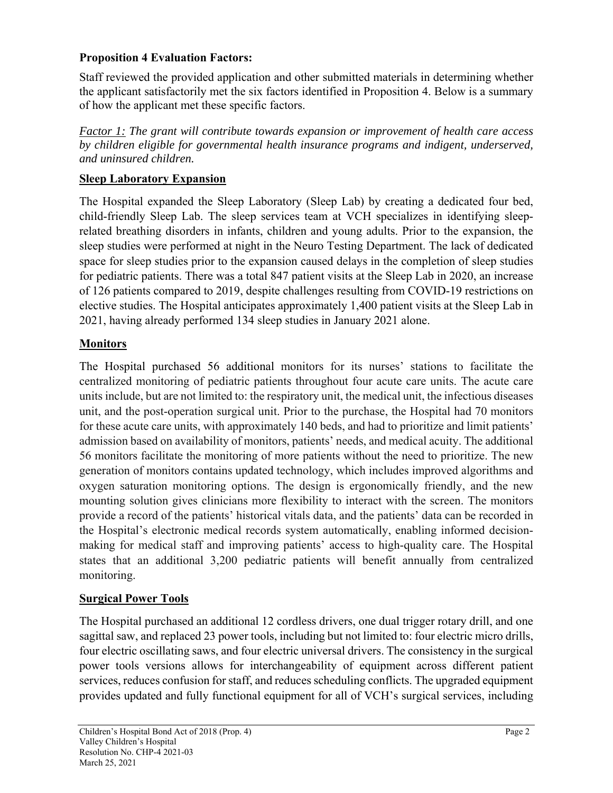# **Proposition 4 Evaluation Factors:**

Staff reviewed the provided application and other submitted materials in determining whether the applicant satisfactorily met the six factors identified in Proposition 4. Below is a summary of how the applicant met these specific factors.

*Factor 1: The grant will contribute towards expansion or improvement of health care access by children eligible for governmental health insurance programs and indigent, underserved, and uninsured children.* 

## **Sleep Laboratory Expansion**

The Hospital expanded the Sleep Laboratory (Sleep Lab) by creating a dedicated four bed, child-friendly Sleep Lab. The sleep services team at VCH specializes in identifying sleeprelated breathing disorders in infants, children and young adults. Prior to the expansion, the sleep studies were performed at night in the Neuro Testing Department. The lack of dedicated space for sleep studies prior to the expansion caused delays in the completion of sleep studies for pediatric patients. There was a total 847 patient visits at the Sleep Lab in 2020, an increase of 126 patients compared to 2019, despite challenges resulting from COVID-19 restrictions on elective studies. The Hospital anticipates approximately 1,400 patient visits at the Sleep Lab in 2021, having already performed 134 sleep studies in January 2021 alone.

## **Monitors**

The Hospital purchased 56 additional monitors for its nurses' stations to facilitate the centralized monitoring of pediatric patients throughout four acute care units. The acute care units include, but are not limited to: the respiratory unit, the medical unit, the infectious diseases unit, and the post-operation surgical unit. Prior to the purchase, the Hospital had 70 monitors for these acute care units, with approximately 140 beds, and had to prioritize and limit patients' admission based on availability of monitors, patients' needs, and medical acuity. The additional 56 monitors facilitate the monitoring of more patients without the need to prioritize. The new generation of monitors contains updated technology, which includes improved algorithms and oxygen saturation monitoring options. The design is ergonomically friendly, and the new mounting solution gives clinicians more flexibility to interact with the screen. The monitors provide a record of the patients' historical vitals data, and the patients' data can be recorded in the Hospital's electronic medical records system automatically, enabling informed decisionmaking for medical staff and improving patients' access to high-quality care. The Hospital states that an additional 3,200 pediatric patients will benefit annually from centralized monitoring.

### **Surgical Power Tools**

The Hospital purchased an additional 12 cordless drivers, one dual trigger rotary drill, and one sagittal saw, and replaced 23 power tools, including but not limited to: four electric micro drills, four electric oscillating saws, and four electric universal drivers. The consistency in the surgical power tools versions allows for interchangeability of equipment across different patient services, reduces confusion for staff, and reduces scheduling conflicts. The upgraded equipment provides updated and fully functional equipment for all of VCH's surgical services, including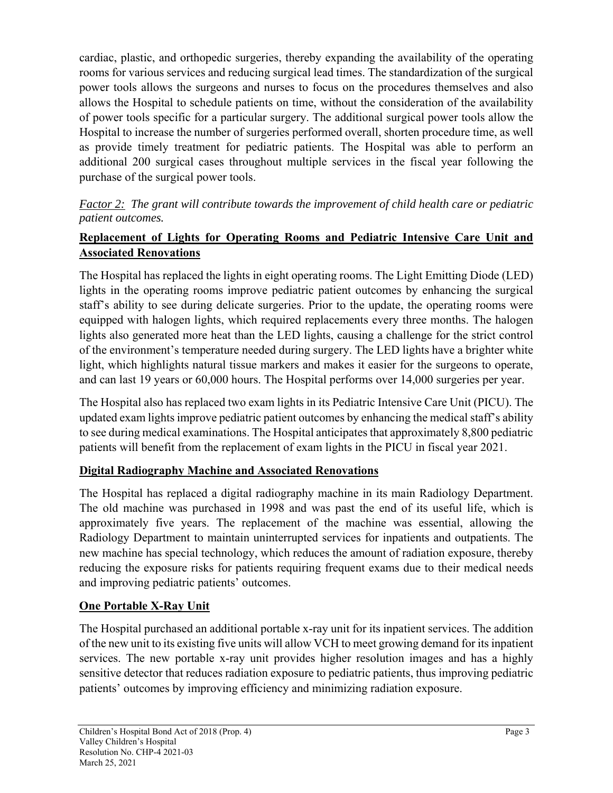cardiac, plastic, and orthopedic surgeries, thereby expanding the availability of the operating rooms for various services and reducing surgical lead times. The standardization of the surgical power tools allows the surgeons and nurses to focus on the procedures themselves and also allows the Hospital to schedule patients on time, without the consideration of the availability of power tools specific for a particular surgery. The additional surgical power tools allow the Hospital to increase the number of surgeries performed overall, shorten procedure time, as well as provide timely treatment for pediatric patients. The Hospital was able to perform an additional 200 surgical cases throughout multiple services in the fiscal year following the purchase of the surgical power tools.

# *Factor 2: The grant will contribute towards the improvement of child health care or pediatric patient outcomes.*

# **Replacement of Lights for Operating Rooms and Pediatric Intensive Care Unit and Associated Renovations**

The Hospital has replaced the lights in eight operating rooms. The Light Emitting Diode (LED) lights in the operating rooms improve pediatric patient outcomes by enhancing the surgical staff's ability to see during delicate surgeries. Prior to the update, the operating rooms were equipped with halogen lights, which required replacements every three months. The halogen lights also generated more heat than the LED lights, causing a challenge for the strict control of the environment's temperature needed during surgery. The LED lights have a brighter white light, which highlights natural tissue markers and makes it easier for the surgeons to operate, and can last 19 years or 60,000 hours. The Hospital performs over 14,000 surgeries per year.

The Hospital also has replaced two exam lights in its Pediatric Intensive Care Unit (PICU). The updated exam lights improve pediatric patient outcomes by enhancing the medical staff's ability to see during medical examinations. The Hospital anticipates that approximately 8,800 pediatric patients will benefit from the replacement of exam lights in the PICU in fiscal year 2021.

# **Digital Radiography Machine and Associated Renovations**

The Hospital has replaced a digital radiography machine in its main Radiology Department. The old machine was purchased in 1998 and was past the end of its useful life, which is approximately five years. The replacement of the machine was essential, allowing the Radiology Department to maintain uninterrupted services for inpatients and outpatients. The new machine has special technology, which reduces the amount of radiation exposure, thereby reducing the exposure risks for patients requiring frequent exams due to their medical needs and improving pediatric patients' outcomes.

# **One Portable X-Ray Unit**

The Hospital purchased an additional portable x-ray unit for its inpatient services. The addition of the new unit to its existing five units will allow VCH to meet growing demand for its inpatient services. The new portable x-ray unit provides higher resolution images and has a highly sensitive detector that reduces radiation exposure to pediatric patients, thus improving pediatric patients' outcomes by improving efficiency and minimizing radiation exposure.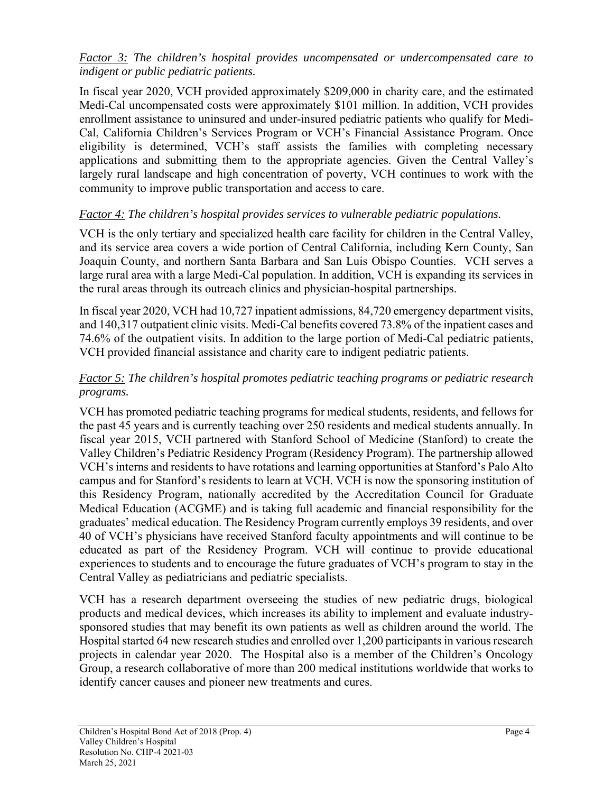### *Factor 3: The children's hospital provides uncompensated or undercompensated care to indigent or public pediatric patients.*

In fiscal year 2020, VCH provided approximately \$209,000 in charity care, and the estimated Medi-Cal uncompensated costs were approximately \$101 million. In addition, VCH provides enrollment assistance to uninsured and under-insured pediatric patients who qualify for Medi-Cal, California Children's Services Program or VCH's Financial Assistance Program. Once eligibility is determined, VCH's staff assists the families with completing necessary applications and submitting them to the appropriate agencies. Given the Central Valley's largely rural landscape and high concentration of poverty, VCH continues to work with the community to improve public transportation and access to care.

# *Factor 4: The children's hospital provides services to vulnerable pediatric populations.*

VCH is the only tertiary and specialized health care facility for children in the Central Valley, and its service area covers a wide portion of Central California, including Kern County, San Joaquin County, and northern Santa Barbara and San Luis Obispo Counties. VCH serves a large rural area with a large Medi-Cal population. In addition, VCH is expanding its services in the rural areas through its outreach clinics and physician-hospital partnerships.

In fiscal year 2020, VCH had 10,727 inpatient admissions, 84,720 emergency department visits, and 140,317 outpatient clinic visits. Medi-Cal benefits covered 73.8% of the inpatient cases and 74.6% of the outpatient visits. In addition to the large portion of Medi-Cal pediatric patients, VCH provided financial assistance and charity care to indigent pediatric patients.

# *Factor 5: The children's hospital promotes pediatric teaching programs or pediatric research programs.*

VCH has promoted pediatric teaching programs for medical students, residents, and fellows for the past 45 years and is currently teaching over 250 residents and medical students annually. In fiscal year 2015, VCH partnered with Stanford School of Medicine (Stanford) to create the Valley Children's Pediatric Residency Program (Residency Program). The partnership allowed VCH's interns and residents to have rotations and learning opportunities at Stanford's Palo Alto campus and for Stanford's residents to learn at VCH. VCH is now the sponsoring institution of this Residency Program, nationally accredited by the Accreditation Council for Graduate Medical Education (ACGME) and is taking full academic and financial responsibility for the graduates' medical education. The Residency Program currently employs 39 residents, and over 40 of VCH's physicians have received Stanford faculty appointments and will continue to be educated as part of the Residency Program. VCH will continue to provide educational experiences to students and to encourage the future graduates of VCH's program to stay in the Central Valley as pediatricians and pediatric specialists.

VCH has a research department overseeing the studies of new pediatric drugs, biological products and medical devices, which increases its ability to implement and evaluate industrysponsored studies that may benefit its own patients as well as children around the world. The Hospital started 64 new research studies and enrolled over 1,200 participants in various research projects in calendar year 2020. The Hospital also is a member of the Children's Oncology Group, a research collaborative of more than 200 medical institutions worldwide that works to identify cancer causes and pioneer new treatments and cures.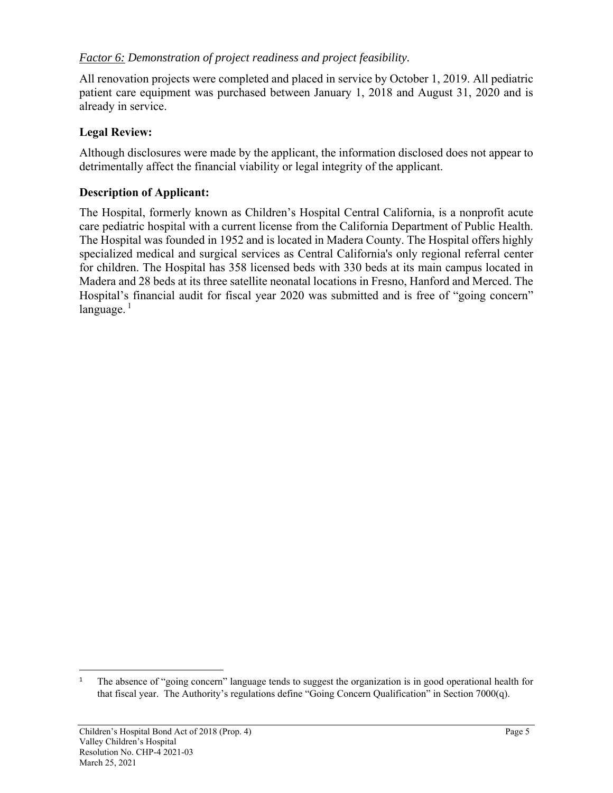## *Factor 6: Demonstration of project readiness and project feasibility.*

All renovation projects were completed and placed in service by October 1, 2019. All pediatric patient care equipment was purchased between January 1, 2018 and August 31, 2020 and is already in service.

### **Legal Review:**

Although disclosures were made by the applicant, the information disclosed does not appear to detrimentally affect the financial viability or legal integrity of the applicant.

## **Description of Applicant:**

The Hospital, formerly known as Children's Hospital Central California, is a nonprofit acute care pediatric hospital with a current license from the California Department of Public Health. The Hospital was founded in 1952 and is located in Madera County. The Hospital offers highly specialized medical and surgical services as Central California's only regional referral center for children. The Hospital has 358 licensed beds with 330 beds at its main campus located in Madera and 28 beds at its three satellite neonatal locations in Fresno, Hanford and Merced. The Hospital's financial audit for fiscal year 2020 was submitted and is free of "going concern" language. $1$ 

<sup>&</sup>lt;sup>1</sup> The absence of "going concern" language tends to suggest the organization is in good operational health for that fiscal year. The Authority's regulations define "Going Concern Qualification" in Section 7000(q).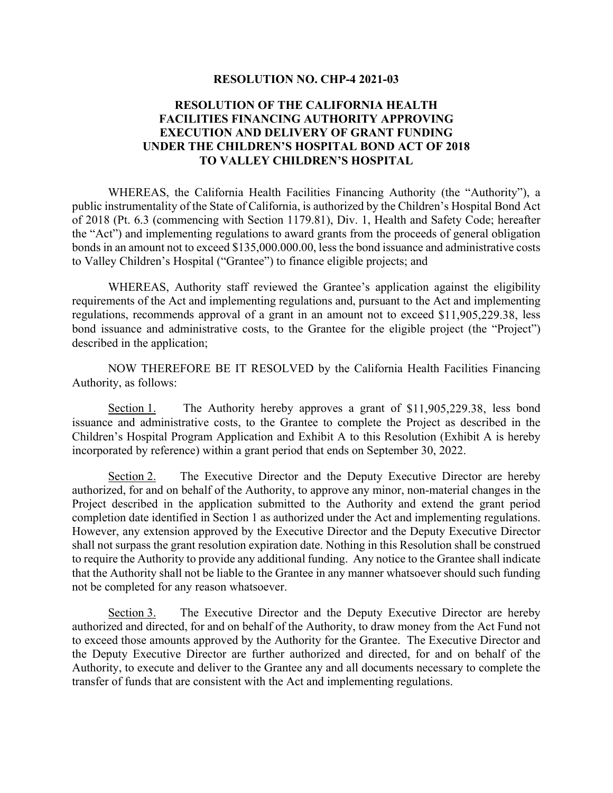#### **RESOLUTION NO. CHP-4 2021-03**

#### **RESOLUTION OF THE CALIFORNIA HEALTH FACILITIES FINANCING AUTHORITY APPROVING EXECUTION AND DELIVERY OF GRANT FUNDING UNDER THE CHILDREN'S HOSPITAL BOND ACT OF 2018 TO VALLEY CHILDREN'S HOSPITAL**

 WHEREAS, the California Health Facilities Financing Authority (the "Authority"), a public instrumentality of the State of California, is authorized by the Children's Hospital Bond Act of 2018 (Pt. 6.3 (commencing with Section 1179.81), Div. 1, Health and Safety Code; hereafter the "Act") and implementing regulations to award grants from the proceeds of general obligation bonds in an amount not to exceed \$135,000.000.00, less the bond issuance and administrative costs to Valley Children's Hospital ("Grantee") to finance eligible projects; and

 WHEREAS, Authority staff reviewed the Grantee's application against the eligibility requirements of the Act and implementing regulations and, pursuant to the Act and implementing regulations, recommends approval of a grant in an amount not to exceed \$11,905,229.38, less bond issuance and administrative costs, to the Grantee for the eligible project (the "Project") described in the application;

 NOW THEREFORE BE IT RESOLVED by the California Health Facilities Financing Authority, as follows:

Section 1. The Authority hereby approves a grant of \$11,905,229.38, less bond issuance and administrative costs, to the Grantee to complete the Project as described in the Children's Hospital Program Application and Exhibit A to this Resolution (Exhibit A is hereby incorporated by reference) within a grant period that ends on September 30, 2022.

Section 2. The Executive Director and the Deputy Executive Director are hereby authorized, for and on behalf of the Authority, to approve any minor, non-material changes in the Project described in the application submitted to the Authority and extend the grant period completion date identified in Section 1 as authorized under the Act and implementing regulations. However, any extension approved by the Executive Director and the Deputy Executive Director shall not surpass the grant resolution expiration date. Nothing in this Resolution shall be construed to require the Authority to provide any additional funding. Any notice to the Grantee shall indicate that the Authority shall not be liable to the Grantee in any manner whatsoever should such funding not be completed for any reason whatsoever.

Section 3. The Executive Director and the Deputy Executive Director are hereby authorized and directed, for and on behalf of the Authority, to draw money from the Act Fund not to exceed those amounts approved by the Authority for the Grantee. The Executive Director and the Deputy Executive Director are further authorized and directed, for and on behalf of the Authority, to execute and deliver to the Grantee any and all documents necessary to complete the transfer of funds that are consistent with the Act and implementing regulations.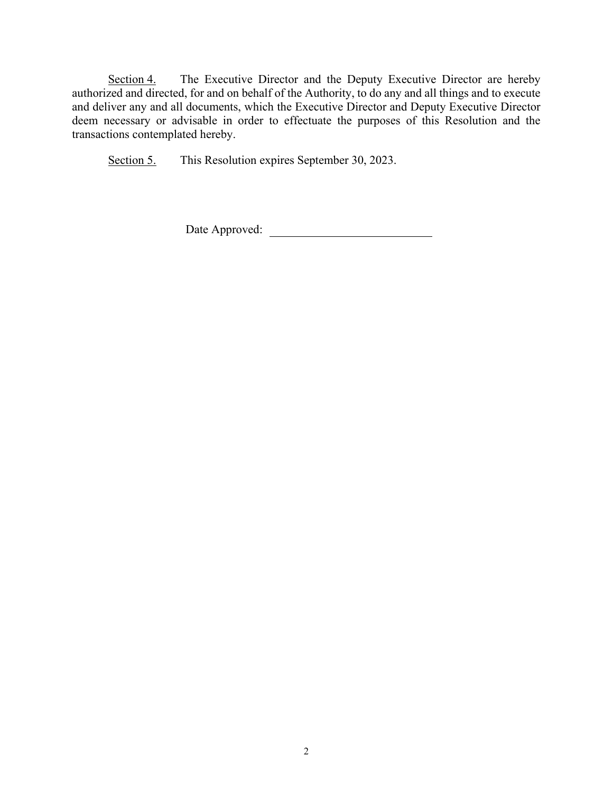Section 4. The Executive Director and the Deputy Executive Director are hereby authorized and directed, for and on behalf of the Authority, to do any and all things and to execute and deliver any and all documents, which the Executive Director and Deputy Executive Director deem necessary or advisable in order to effectuate the purposes of this Resolution and the transactions contemplated hereby.

Section 5. This Resolution expires September 30, 2023.

Date Approved: